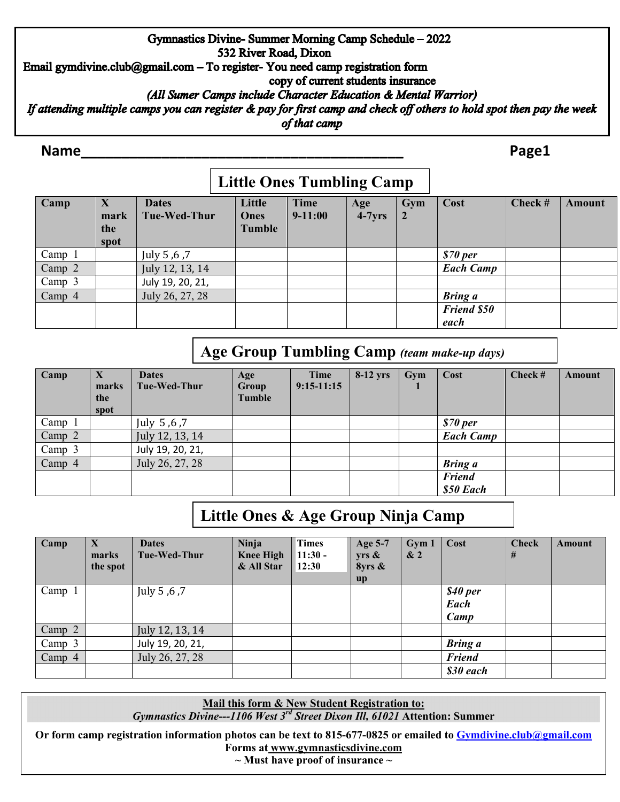### Gymnastics Divine-Summer Morning Camp Schedule - 2022 532 River Road, Dixon Email gymdivine.club@gmail.com - To register- You need camp registration form copy of current students insurance (All Sumer Camps include Character Education & Mental Warrior) If attending multiple camps you can register & pay for first camp and check off others to hold spot then pay the week of that camp

### **Name\_\_\_\_\_\_\_\_\_\_\_\_\_\_\_\_\_\_\_\_\_\_\_\_\_\_\_\_\_\_\_\_\_\_\_\_\_\_\_\_ Page1**

# **Little Ones Tumbling Camp**

| Camp   | X<br>mark<br>the<br>spot | <b>Dates</b><br>Tue-Wed-Thur | Little<br>Ones<br><b>Tumble</b> | Time<br>$9 - 11:00$ | Age<br>$4-7yrs$ | Gym | Cost               | Check # | Amount |
|--------|--------------------------|------------------------------|---------------------------------|---------------------|-----------------|-----|--------------------|---------|--------|
| Camp   |                          | July 5, 6, 7                 |                                 |                     |                 |     | \$70~per           |         |        |
| Camp 2 |                          | July 12, 13, 14              |                                 |                     |                 |     | <b>Each Camp</b>   |         |        |
| Camp 3 |                          | July 19, 20, 21,             |                                 |                     |                 |     |                    |         |        |
| Camp 4 |                          | July 26, 27, 28              |                                 |                     |                 |     | <b>Bring</b> a     |         |        |
|        |                          |                              |                                 |                     |                 |     | <b>Friend \$50</b> |         |        |
|        |                          |                              |                                 |                     |                 |     | each               |         |        |

## **Age Group Tumbling Camp** *(team make-up days)*

| Camp   | X<br>marks<br>the<br>spot | <b>Dates</b><br>Tue-Wed-Thur | Age<br>Group<br>Tumble | Time<br>$9:15-11:15$ | $8-12$ yrs | Gym | Cost             | Check # | Amount |
|--------|---------------------------|------------------------------|------------------------|----------------------|------------|-----|------------------|---------|--------|
| Camp 1 |                           | July 5,6,7                   |                        |                      |            |     | \$70~per         |         |        |
| Camp 2 |                           | July 12, 13, 14              |                        |                      |            |     | <b>Each Camp</b> |         |        |
| Camp 3 |                           | July 19, 20, 21,             |                        |                      |            |     |                  |         |        |
| Camp 4 |                           | July 26, 27, 28              |                        |                      |            |     | <b>Bring</b> a   |         |        |
|        |                           |                              |                        |                      |            |     | <b>Friend</b>    |         |        |
|        |                           |                              |                        |                      |            |     | \$50 Each        |         |        |

# **Little Ones & Age Group Ninja Camp**

| Camp     | $\bm{X}$<br>marks<br>the spot | <b>Dates</b><br>Tue-Wed-Thur | <b>Ninja</b><br><b>Knee High</b><br>& All Star | <b>Times</b><br>$11:30 -$<br>12:30 | Age 5-7<br>$yrs \&$<br>8yrs &<br>$\mathbf{u} \mathbf{p}$ | Gym 1<br>$\& 2$ | Cost                     | <b>Check</b><br># | Amount |
|----------|-------------------------------|------------------------------|------------------------------------------------|------------------------------------|----------------------------------------------------------|-----------------|--------------------------|-------------------|--------|
| Camp 1   |                               | July 5, 6, 7                 |                                                |                                    |                                                          |                 | \$40 per<br>Each<br>Camp |                   |        |
| Camp $2$ |                               | July 12, 13, 14              |                                                |                                    |                                                          |                 |                          |                   |        |
| Camp 3   |                               | July 19, 20, 21,             |                                                |                                    |                                                          |                 | <b>Bring</b> a           |                   |        |
| Camp $4$ |                               | July 26, 27, 28              |                                                |                                    |                                                          |                 | <b>Friend</b>            |                   |        |
|          |                               |                              |                                                |                                    |                                                          |                 | \$30 each                |                   |        |

**Mail this form & New Student Registration to:** *Gymnastics Divine---1106 West 3rd Street Dixon Ill, 61021* **Attention: Summer**

**Or form camp registration information photos can be text to 815-677-0825 or emailed to [Gymdivine.club@gmail.com](mailto:Gymdivine.club@gmail.com)  Forms at www.gymnasticsdivine.com** 

**~ Must have proof of insurance ~**